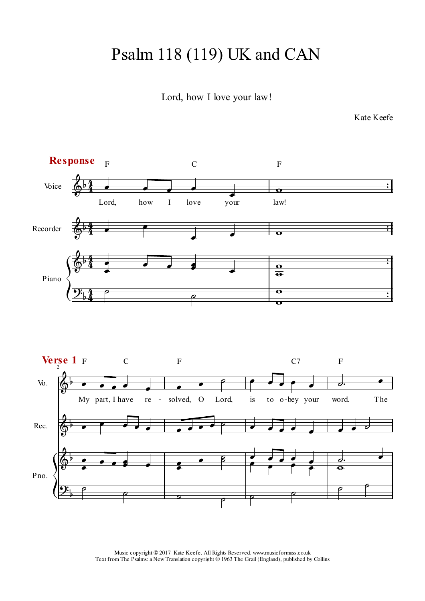## Psalm 118 (119) UK and CAN

Lord, how I love your law!

Kate Keefe

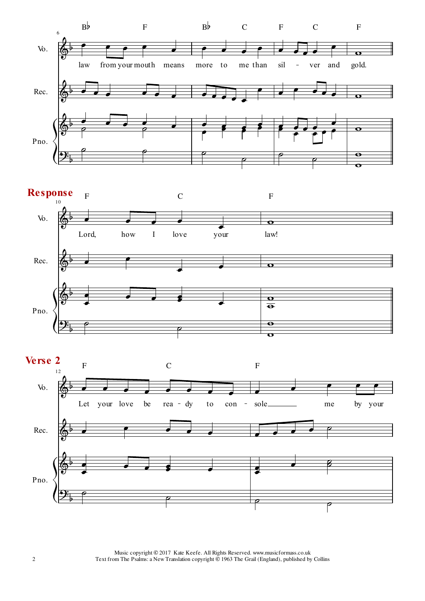



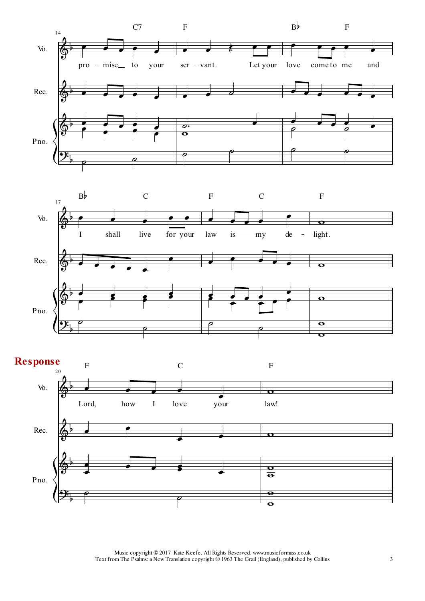



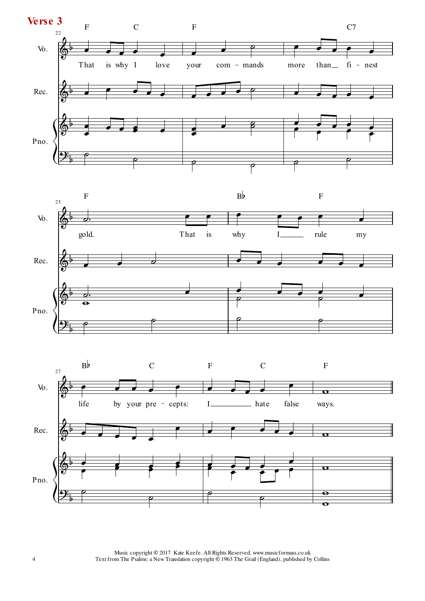



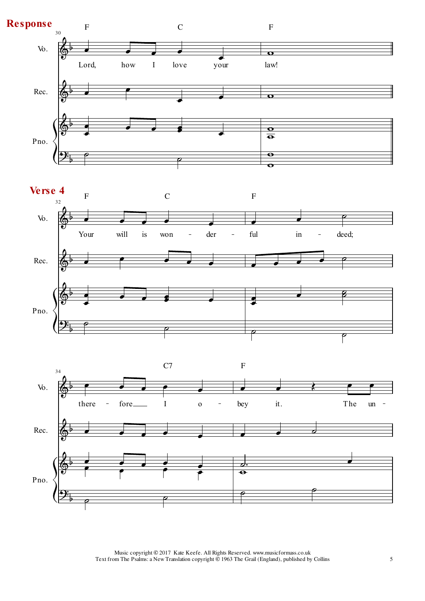